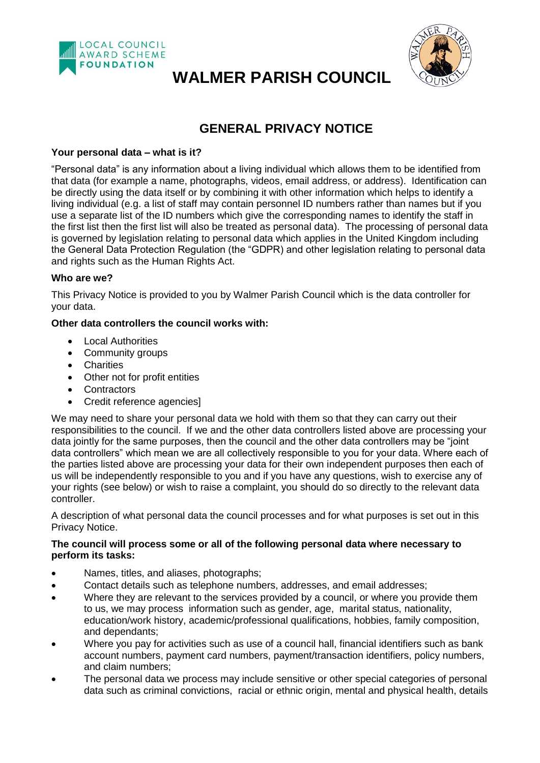

# **WALMER PARISH COUNCIL**



# **GENERAL PRIVACY NOTICE**

# **Your personal data – what is it?**

"Personal data" is any information about a living individual which allows them to be identified from that data (for example a name, photographs, videos, email address, or address). Identification can be directly using the data itself or by combining it with other information which helps to identify a living individual (e.g. a list of staff may contain personnel ID numbers rather than names but if you use a separate list of the ID numbers which give the corresponding names to identify the staff in the first list then the first list will also be treated as personal data). The processing of personal data is governed by legislation relating to personal data which applies in the United Kingdom including the General Data Protection Regulation (the "GDPR) and other legislation relating to personal data and rights such as the Human Rights Act.

# **Who are we?**

This Privacy Notice is provided to you by Walmer Parish Council which is the data controller for your data.

# **Other data controllers the council works with:**

- Local Authorities
- Community groups
- Charities
- Other not for profit entities
- Contractors
- Credit reference agencies]

We may need to share your personal data we hold with them so that they can carry out their responsibilities to the council. If we and the other data controllers listed above are processing your data jointly for the same purposes, then the council and the other data controllers may be "joint data controllers" which mean we are all collectively responsible to you for your data. Where each of the parties listed above are processing your data for their own independent purposes then each of us will be independently responsible to you and if you have any questions, wish to exercise any of your rights (see below) or wish to raise a complaint, you should do so directly to the relevant data controller.

A description of what personal data the council processes and for what purposes is set out in this Privacy Notice.

#### **The council will process some or all of the following personal data where necessary to perform its tasks:**

- Names, titles, and aliases, photographs;
- Contact details such as telephone numbers, addresses, and email addresses;
- Where they are relevant to the services provided by a council, or where you provide them to us, we may process information such as gender, age, marital status, nationality, education/work history, academic/professional qualifications, hobbies, family composition, and dependants;
- Where you pay for activities such as use of a council hall, financial identifiers such as bank account numbers, payment card numbers, payment/transaction identifiers, policy numbers, and claim numbers;
- The personal data we process may include sensitive or other special categories of personal data such as criminal convictions, racial or ethnic origin, mental and physical health, details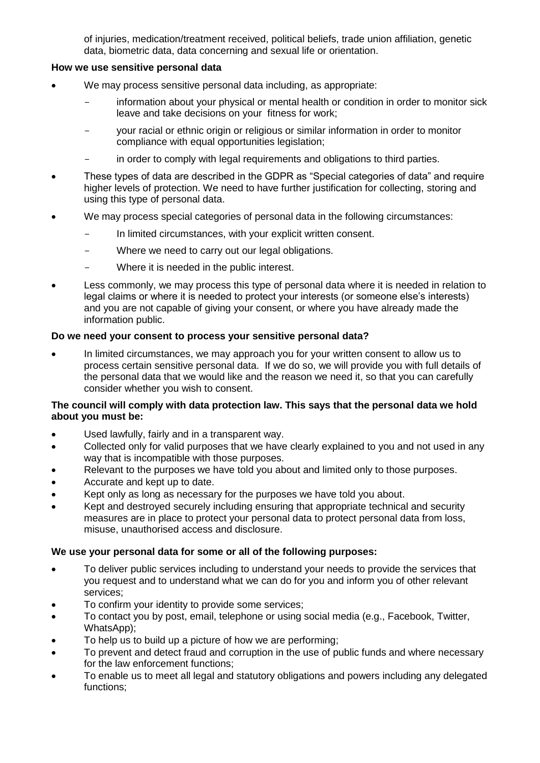of injuries, medication/treatment received, political beliefs, trade union affiliation, genetic data, biometric data, data concerning and sexual life or orientation.

#### **How we use sensitive personal data**

- We may process sensitive personal data including, as appropriate:
	- information about your physical or mental health or condition in order to monitor sick leave and take decisions on your fitness for work;
	- your racial or ethnic origin or religious or similar information in order to monitor compliance with equal opportunities legislation;
	- in order to comply with legal requirements and obligations to third parties.
- These types of data are described in the GDPR as "Special categories of data" and require higher levels of protection. We need to have further justification for collecting, storing and using this type of personal data.
- We may process special categories of personal data in the following circumstances:
	- In limited circumstances, with your explicit written consent.
	- Where we need to carry out our legal obligations.
	- Where it is needed in the public interest.
- Less commonly, we may process this type of personal data where it is needed in relation to legal claims or where it is needed to protect your interests (or someone else's interests) and you are not capable of giving your consent, or where you have already made the information public.

#### **Do we need your consent to process your sensitive personal data?**

 In limited circumstances, we may approach you for your written consent to allow us to process certain sensitive personal data. If we do so, we will provide you with full details of the personal data that we would like and the reason we need it, so that you can carefully consider whether you wish to consent.

#### **The council will comply with data protection law. This says that the personal data we hold about you must be:**

- Used lawfully, fairly and in a transparent way.
- Collected only for valid purposes that we have clearly explained to you and not used in any way that is incompatible with those purposes.
- Relevant to the purposes we have told you about and limited only to those purposes.
- Accurate and kept up to date.
- Kept only as long as necessary for the purposes we have told you about.
- Kept and destroyed securely including ensuring that appropriate technical and security measures are in place to protect your personal data to protect personal data from loss, misuse, unauthorised access and disclosure.

#### **We use your personal data for some or all of the following purposes:**

- To deliver public services including to understand your needs to provide the services that you request and to understand what we can do for you and inform you of other relevant services;
- To confirm your identity to provide some services;
- To contact you by post, email, telephone or using social media (e.g., Facebook, Twitter, WhatsApp);
- To help us to build up a picture of how we are performing;
- To prevent and detect fraud and corruption in the use of public funds and where necessary for the law enforcement functions;
- To enable us to meet all legal and statutory obligations and powers including any delegated functions;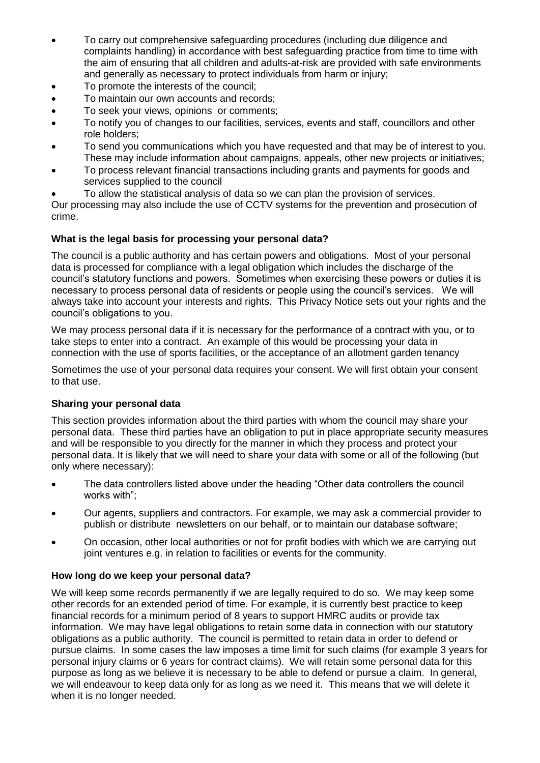- To carry out comprehensive safeguarding procedures (including due diligence and complaints handling) in accordance with best safeguarding practice from time to time with the aim of ensuring that all children and adults-at-risk are provided with safe environments and generally as necessary to protect individuals from harm or injury;
- To promote the interests of the council;
- To maintain our own accounts and records;
- To seek your views, opinions or comments;
- To notify you of changes to our facilities, services, events and staff, councillors and other role holders;
- To send you communications which you have requested and that may be of interest to you. These may include information about campaigns, appeals, other new projects or initiatives;
- To process relevant financial transactions including grants and payments for goods and services supplied to the council
- To allow the statistical analysis of data so we can plan the provision of services.

Our processing may also include the use of CCTV systems for the prevention and prosecution of crime.

# **What is the legal basis for processing your personal data?**

The council is a public authority and has certain powers and obligations. Most of your personal data is processed for compliance with a legal obligation which includes the discharge of the council's statutory functions and powers. Sometimes when exercising these powers or duties it is necessary to process personal data of residents or people using the council's services. We will always take into account your interests and rights. This Privacy Notice sets out your rights and the council's obligations to you.

We may process personal data if it is necessary for the performance of a contract with you, or to take steps to enter into a contract. An example of this would be processing your data in connection with the use of sports facilities, or the acceptance of an allotment garden tenancy

Sometimes the use of your personal data requires your consent. We will first obtain your consent to that use.

# **Sharing your personal data**

This section provides information about the third parties with whom the council may share your personal data. These third parties have an obligation to put in place appropriate security measures and will be responsible to you directly for the manner in which they process and protect your personal data. It is likely that we will need to share your data with some or all of the following (but only where necessary):

- The data controllers listed above under the heading "Other data controllers the council works with";
- Our agents, suppliers and contractors. For example, we may ask a commercial provider to publish or distribute newsletters on our behalf, or to maintain our database software;
- On occasion, other local authorities or not for profit bodies with which we are carrying out joint ventures e.g. in relation to facilities or events for the community.

#### **How long do we keep your personal data?**

We will keep some records permanently if we are legally required to do so. We may keep some other records for an extended period of time. For example, it is currently best practice to keep financial records for a minimum period of 8 years to support HMRC audits or provide tax information. We may have legal obligations to retain some data in connection with our statutory obligations as a public authority. The council is permitted to retain data in order to defend or pursue claims. In some cases the law imposes a time limit for such claims (for example 3 years for personal injury claims or 6 years for contract claims). We will retain some personal data for this purpose as long as we believe it is necessary to be able to defend or pursue a claim. In general, we will endeavour to keep data only for as long as we need it. This means that we will delete it when it is no longer needed.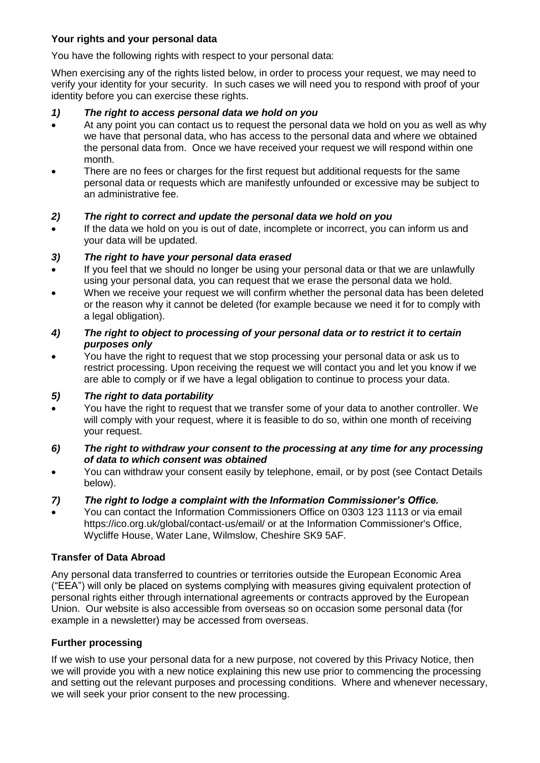# **Your rights and your personal data**

You have the following rights with respect to your personal data:

When exercising any of the rights listed below, in order to process your request, we may need to verify your identity for your security. In such cases we will need you to respond with proof of your identity before you can exercise these rights.

#### *1) The right to access personal data we hold on you*

- At any point you can contact us to request the personal data we hold on you as well as why we have that personal data, who has access to the personal data and where we obtained the personal data from. Once we have received your request we will respond within one month.
- There are no fees or charges for the first request but additional requests for the same personal data or requests which are manifestly unfounded or excessive may be subject to an administrative fee.

# *2) The right to correct and update the personal data we hold on you*

 If the data we hold on you is out of date, incomplete or incorrect, you can inform us and your data will be updated.

# *3) The right to have your personal data erased*

- If you feel that we should no longer be using your personal data or that we are unlawfully using your personal data, you can request that we erase the personal data we hold.
- When we receive your request we will confirm whether the personal data has been deleted or the reason why it cannot be deleted (for example because we need it for to comply with a legal obligation).

#### *4) The right to object to processing of your personal data or to restrict it to certain purposes only*

 You have the right to request that we stop processing your personal data or ask us to restrict processing. Upon receiving the request we will contact you and let you know if we are able to comply or if we have a legal obligation to continue to process your data.

#### *5) The right to data portability*

- You have the right to request that we transfer some of your data to another controller. We will comply with your request, where it is feasible to do so, within one month of receiving your request.
- *6) The right to withdraw your consent to the processing at any time for any processing of data to which consent was obtained*
- You can withdraw your consent easily by telephone, email, or by post (see Contact Details below).

# *7) The right to lodge a complaint with the Information Commissioner's Office.*

 You can contact the Information Commissioners Office on 0303 123 1113 or via email https://ico.org.uk/global/contact-us/email/ or at the Information Commissioner's Office, Wycliffe House, Water Lane, Wilmslow, Cheshire SK9 5AF.

#### **Transfer of Data Abroad**

Any personal data transferred to countries or territories outside the European Economic Area ("EEA") will only be placed on systems complying with measures giving equivalent protection of personal rights either through international agreements or contracts approved by the European Union. Our website is also accessible from overseas so on occasion some personal data (for example in a newsletter) may be accessed from overseas.

#### **Further processing**

If we wish to use your personal data for a new purpose, not covered by this Privacy Notice, then we will provide you with a new notice explaining this new use prior to commencing the processing and setting out the relevant purposes and processing conditions. Where and whenever necessary, we will seek your prior consent to the new processing.